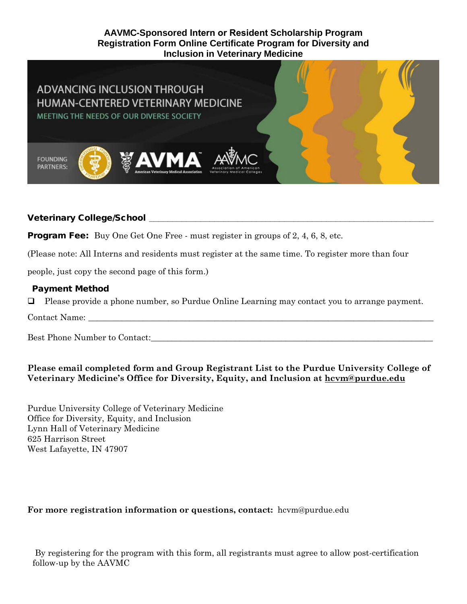## **AAVMC-Sponsored Intern or Resident Scholarship Program Registration Form Online Certificate Program for Diversity and Inclusion in Veterinary Medicine**



# Veterinary College/School **\_\_\_\_\_\_\_\_\_\_\_\_\_\_\_\_\_\_\_\_\_\_\_\_\_\_\_\_\_\_\_\_\_\_\_\_\_\_\_\_\_\_\_\_\_\_\_\_\_\_\_\_\_\_\_\_\_\_\_\_\_**

**Program Fee:** Buy One Get One Free - must register in groups of 2, 4, 6, 8, etc.

(Please note: All Interns and residents must register at the same time. To register more than four

people, just copy the second page of this form.)

#### Payment Method

Please provide a phone number, so Purdue Online Learning may contact you to arrange payment.

Contact Name:

Best Phone Number to Contact:\_\_\_\_\_\_\_\_\_\_\_\_\_\_\_\_\_\_\_\_\_\_\_\_\_\_\_\_\_\_\_\_\_\_\_\_\_\_\_\_\_\_\_\_\_\_\_\_\_\_\_\_\_\_\_\_\_\_\_\_\_\_\_\_\_\_\_

#### **Please email completed form and Group Registrant List to the Purdue University College of Veterinary Medicine's Office for Diversity, Equity, and Inclusion at hcvm@purdue.edu**

Purdue University College of Veterinary Medicine Office for Diversity, Equity, and Inclusion Lynn Hall of Veterinary Medicine 625 Harrison Street West Lafayette, IN 47907

## **For more registration information or questions, contact:** hcvm@purdue.edu

 By registering for the program with this form, all registrants must agree to allow post-certification follow-up by the AAVMC